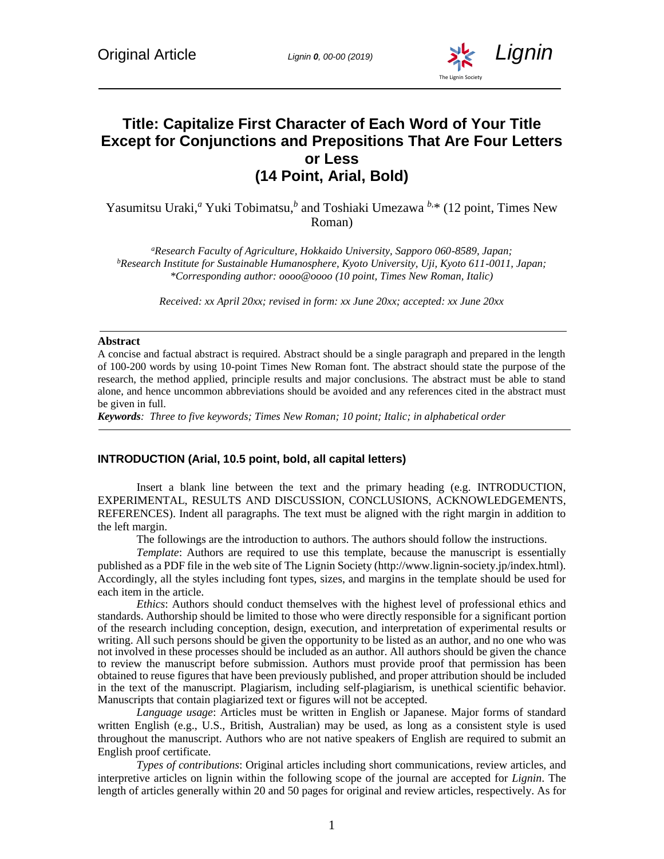

# **Title: Capitalize First Character of Each Word of Your Title Except for Conjunctions and Prepositions That Are Four Letters or Less (14 Point, Arial, Bold)**

Yasumitsu Uraki,<sup>*a*</sup> Yuki Tobimatsu,<sup>*b*</sup> and Toshiaki Umezawa<sup>*b*,\*</sup> (12 point, Times New Roman)

*<sup>a</sup>Research Faculty of Agriculture, Hokkaido University, Sapporo 060-8589, Japan; <sup>b</sup>Research Institute for Sustainable Humanosphere, Kyoto University, Uji, Kyoto 611-0011, Japan; \*Corresponding author: oooo@oooo (10 point, Times New Roman, Italic)*

*Received: xx April 20xx; revised in form: xx June 20xx; accepted: xx June 20xx*

#### **Abstract**

A concise and factual abstract is required. Abstract should be a single paragraph and prepared in the length of 100-200 words by using 10-point Times New Roman font. The abstract should state the purpose of the research, the method applied, principle results and major conclusions. The abstract must be able to stand alone, and hence uncommon abbreviations should be avoided and any references cited in the abstract must be given in full.

*Keywords: Three to five keywords; Times New Roman; 10 point; Italic; in alphabetical order*

#### **INTRODUCTION (Arial, 10.5 point, bold, all capital letters)**

Insert a blank line between the text and the primary heading (e.g. INTRODUCTION, EXPERIMENTAL, RESULTS AND DISCUSSION, CONCLUSIONS, ACKNOWLEDGEMENTS, REFERENCES). Indent all paragraphs. The text must be aligned with the right margin in addition to the left margin.

The followings are the introduction to authors. The authors should follow the instructions.

*Template*: Authors are required to use this template, because the manuscript is essentially published as a PDF file in the web site of The Lignin Society [\(http://www.lignin-society.jp/index.html\)](http://www.lignin-society.jp/index.html). Accordingly, all the styles including font types, sizes, and margins in the template should be used for each item in the article.

*Ethics*: Authors should conduct themselves with the highest level of professional ethics and standards. Authorship should be limited to those who were directly responsible for a significant portion of the research including conception, design, execution, and interpretation of experimental results or writing. All such persons should be given the opportunity to be listed as an author, and no one who was not involved in these processes should be included as an author. All authors should be given the chance to review the manuscript before submission. Authors must provide proof that permission has been obtained to reuse figures that have been previously published, and proper attribution should be included in the text of the manuscript. Plagiarism, including self-plagiarism, is unethical scientific behavior. Manuscripts that contain plagiarized text or figures will not be accepted.

*Language usage*: Articles must be written in English or Japanese. Major forms of standard written English (e.g., U.S., British, Australian) may be used, as long as a consistent style is used throughout the manuscript. Authors who are not native speakers of English are required to submit an English proof certificate.

*Types of contributions*: Original articles including short communications, review articles, and interpretive articles on lignin within the following scope of the journal are accepted for *Lignin*. The length of articles generally within 20 and 50 pages for original and review articles, respectively. As for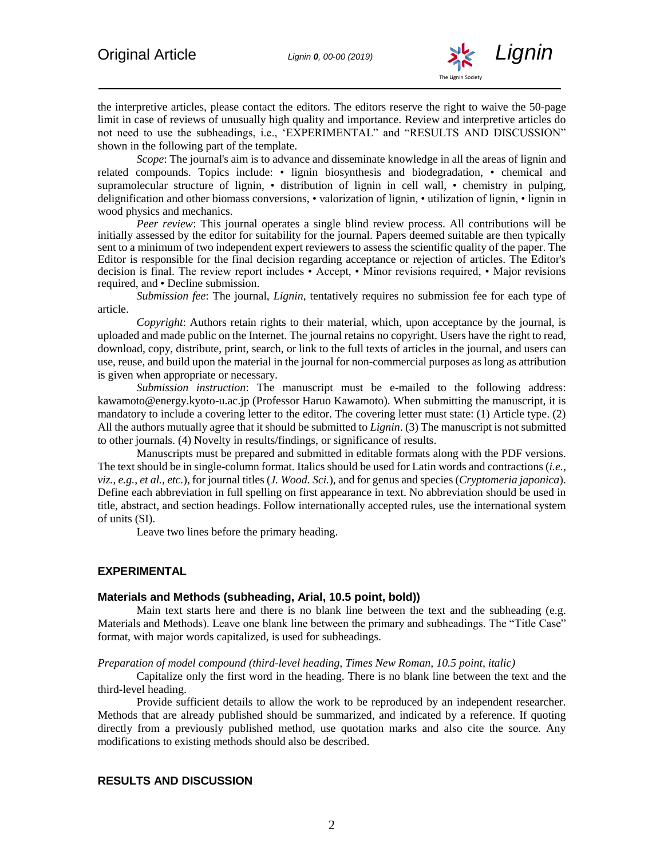

the interpretive articles, please contact the editors. The editors reserve the right to waive the 50-page limit in case of reviews of unusually high quality and importance. Review and interpretive articles do not need to use the subheadings, i.e., 'EXPERIMENTAL" and "RESULTS AND DISCUSSION" shown in the following part of the template.

*Scope*: The journal's aim is to advance and disseminate knowledge in all the areas of lignin and related compounds. Topics include: • lignin biosynthesis and biodegradation, • chemical and supramolecular structure of lignin, • distribution of lignin in cell wall, • chemistry in pulping, delignification and other biomass conversions, • valorization of lignin, • utilization of lignin, • lignin in wood physics and mechanics.

*Peer review*: This journal operates a single blind review process. All contributions will be initially assessed by the editor for suitability for the journal. Papers deemed suitable are then typically sent to a minimum of two independent expert reviewers to assess the scientific quality of the paper. The Editor is responsible for the final decision regarding acceptance or rejection of articles. The Editor's decision is final. The review report includes • Accept, • Minor revisions required, • Major revisions required, and • Decline submission.

*Submission fee*: The journal, *Lignin*, tentatively requires no submission fee for each type of article.

*Copyright*: Authors retain rights to their material, which, upon acceptance by the journal, is uploaded and made public on the Internet. The journal retains no copyright. Users have the right to read, download, copy, distribute, print, search, or link to the full texts of articles in the journal, and users can use, reuse, and build upon the material in the journal for non-commercial purposes as long as attribution is given when appropriate or necessary.

*Submission instruction*: The manuscript must be e-mailed to the following address: [kawamoto@energy.kyoto-u.ac.jp](mailto:kawamoto@energy.kyoto-u.ac.jp) (Professor Haruo Kawamoto). When submitting the manuscript, it is mandatory to include a covering letter to the editor. The covering letter must state: (1) Article type. (2) All the authors mutually agree that it should be submitted to *Lignin*. (3) The manuscript is not submitted to other journals. (4) Novelty in results/findings, or significance of results.

Manuscripts must be prepared and submitted in editable formats along with the PDF versions. The text should be in single-column format. Italics should be used for Latin words and contractions (*i.e.*, *viz.*, *e.g.*, *et al.*, *etc.*), for journal titles (*J. Wood. Sci.*), and for genus and species (*Cryptomeria japonica*). Define each abbreviation in full spelling on first appearance in text. No abbreviation should be used in title, abstract, and section headings. Follow internationally accepted rules, use the international system of units (SI).

Leave two lines before the primary heading.

#### **EXPERIMENTAL**

#### **Materials and Methods (subheading, Arial, 10.5 point, bold))**

Main text starts here and there is no blank line between the text and the subheading (e.g. Materials and Methods). Leave one blank line between the primary and subheadings. The "Title Case" format, with major words capitalized, is used for subheadings.

*Preparation of model compound (third-level heading, Times New Roman, 10.5 point, italic)*

Capitalize only the first word in the heading. There is no blank line between the text and the third-level heading.

Provide sufficient details to allow the work to be reproduced by an independent researcher. Methods that are already published should be summarized, and indicated by a reference. If quoting directly from a previously published method, use quotation marks and also cite the source. Any modifications to existing methods should also be described.

### **RESULTS AND DISCUSSION**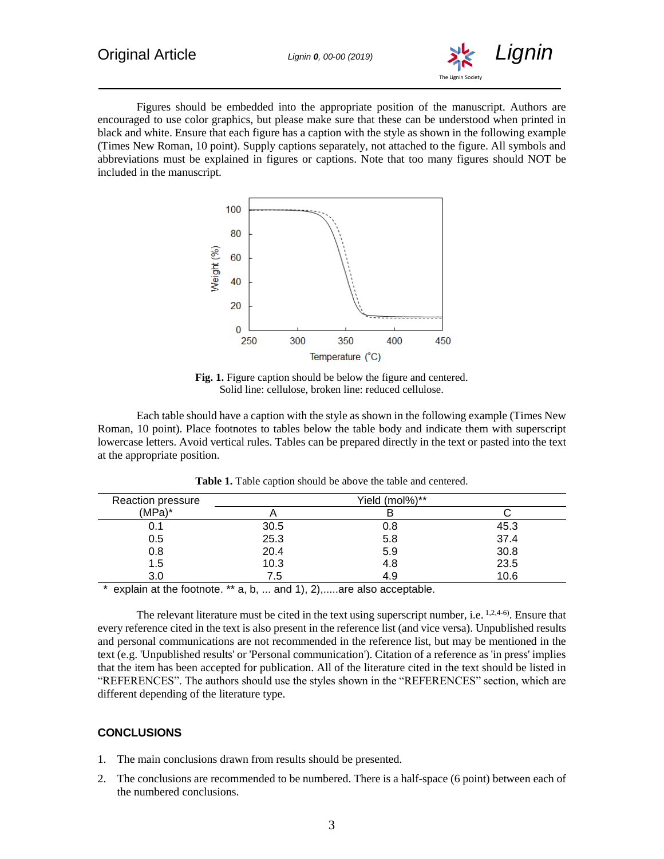

Figures should be embedded into the appropriate position of the manuscript. Authors are encouraged to use color graphics, but please make sure that these can be understood when printed in black and white. Ensure that each figure has a caption with the style as shown in the following example (Times New Roman, 10 point). Supply captions separately, not attached to the figure. All symbols and abbreviations must be explained in figures or captions. Note that too many figures should NOT be included in the manuscript.



Fig. 1. Figure caption should be below the figure and centered. Solid line: cellulose, broken line: reduced cellulose.

Each table should have a caption with the style as shown in the following example (Times New Roman, 10 point). Place footnotes to tables below the table body and indicate them with superscript lowercase letters. Avoid vertical rules. Tables can be prepared directly in the text or pasted into the text at the appropriate position.

| Reaction pressure                                                |                                           | Yield (mol%)**                                                                                                  |      |
|------------------------------------------------------------------|-------------------------------------------|-----------------------------------------------------------------------------------------------------------------|------|
| $(MPa)^*$                                                        |                                           |                                                                                                                 |      |
| 0.1                                                              | 30.5                                      | 0.8                                                                                                             | 45.3 |
| 0.5                                                              | 25.3                                      | 5.8                                                                                                             | 37.4 |
| 0.8                                                              | 20.4                                      | 5.9                                                                                                             | 30.8 |
| 1.5                                                              | 10.3                                      | 4.8                                                                                                             | 23.5 |
| 3.0                                                              | 7.5                                       | 4.9                                                                                                             | 10.6 |
| which is a first consistent of the contract of www.community.com | $\sim$ $\sim$ $\sim$ $\sim$ $\sim$ $\sim$ | the contract of the contract of the contract of the contract of the contract of the contract of the contract of |      |

**Table 1.** Table caption should be above the table and centered.

explain at the footnote.  $**$  a, b, ... and 1), 2),.....are also acceptable.

The relevant literature must be cited in the text using superscript number, i.e. <sup>1,2,4-6</sup>. Ensure that every reference cited in the text is also present in the reference list (and vice versa). Unpublished results and personal communications are not recommended in the reference list, but may be mentioned in the text (e.g. 'Unpublished results' or 'Personal communication'). Citation of a reference as 'in press' implies that the item has been accepted for publication. All of the literature cited in the text should be listed in "REFERENCES". The authors should use the styles shown in the "REFERENCES" section, which are different depending of the literature type.

## **CONCLUSIONS**

- 1. The main conclusions drawn from results should be presented.
- 2. The conclusions are recommended to be numbered. There is a half-space (6 point) between each of the numbered conclusions.